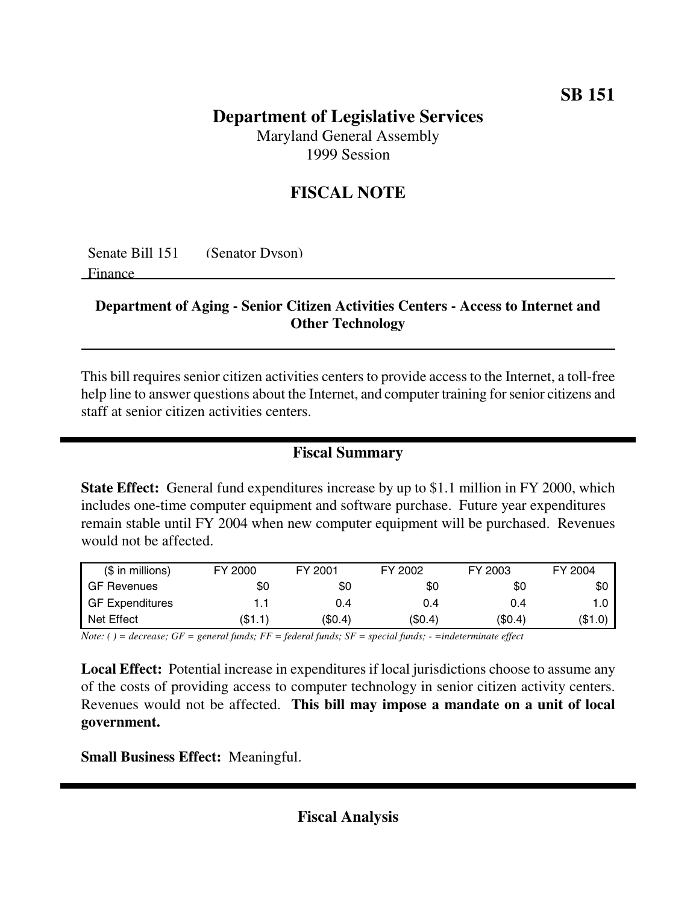## **Department of Legislative Services**

Maryland General Assembly 1999 Session

## **FISCAL NOTE**

Senate Bill 151 (Senator Dyson)

Finance

## **Department of Aging - Senior Citizen Activities Centers - Access to Internet and Other Technology**

This bill requires senior citizen activities centers to provide access to the Internet, a toll-free help line to answer questions about the Internet, and computer training for senior citizens and staff at senior citizen activities centers.

## **Fiscal Summary**

**State Effect:** General fund expenditures increase by up to \$1.1 million in FY 2000, which includes one-time computer equipment and software purchase. Future year expenditures remain stable until FY 2004 when new computer equipment will be purchased. Revenues would not be affected.

| $($$ in millions)      | FY 2000 | FY 2001 | FY 2002 | FY 2003 | FY 2004 |
|------------------------|---------|---------|---------|---------|---------|
| <b>GF Revenues</b>     | \$0     | \$0     | \$0     | \$0     | \$0     |
| <b>GF Expenditures</b> |         | 0.4     | 0.4     | 0.4     | 1.0     |
| Net Effect             | (\$1.1) | \$0.4\$ | (\$0.4) | (\$0.4) | (\$1.0) |

Note: () = decrease; GF = general funds; FF = federal funds; SF = special funds; - = indeterminate effect

**Local Effect:** Potential increase in expenditures if local jurisdictions choose to assume any of the costs of providing access to computer technology in senior citizen activity centers. Revenues would not be affected. **This bill may impose a mandate on a unit of local government.**

**Small Business Effect:** Meaningful.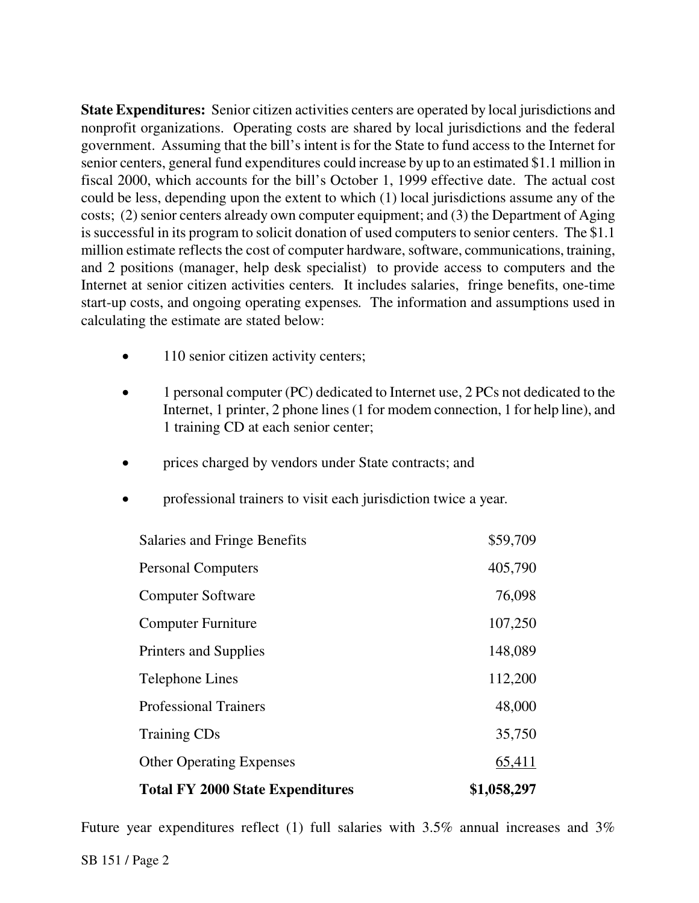**State Expenditures:** Senior citizen activities centers are operated by local jurisdictions and nonprofit organizations. Operating costs are shared by local jurisdictions and the federal government. Assuming that the bill's intent is for the State to fund access to the Internet for senior centers, general fund expenditures could increase by up to an estimated \$1.1 million in fiscal 2000, which accounts for the bill's October 1, 1999 effective date. The actual cost could be less, depending upon the extent to which (1) local jurisdictions assume any of the costs; (2) senior centers already own computer equipment; and (3) the Department of Aging is successful in its program to solicit donation of used computers to senior centers. The \$1.1 million estimate reflects the cost of computer hardware, software, communications, training, and 2 positions (manager, help desk specialist) to provide access to computers and the Internet at senior citizen activities centers*.* It includes salaries, fringe benefits, one-time start-up costs, and ongoing operating expenses*.* The information and assumptions used in calculating the estimate are stated below:

- 110 senior citizen activity centers;
- 1 personal computer (PC) dedicated to Internet use, 2 PCs not dedicated to the Internet, 1 printer, 2 phone lines (1 for modem connection, 1 for help line), and 1 training CD at each senior center;
- prices charged by vendors under State contracts; and
- professional trainers to visit each jurisdiction twice a year*.*

| <b>Total FY 2000 State Expenditures</b> | \$1,058,297 |
|-----------------------------------------|-------------|
| <b>Other Operating Expenses</b>         | 65,411      |
| <b>Training CDs</b>                     | 35,750      |
| <b>Professional Trainers</b>            | 48,000      |
| Telephone Lines                         | 112,200     |
| <b>Printers and Supplies</b>            | 148,089     |
| <b>Computer Furniture</b>               | 107,250     |
| <b>Computer Software</b>                | 76,098      |
| <b>Personal Computers</b>               | 405,790     |
| <b>Salaries and Fringe Benefits</b>     | \$59,709    |

Future year expenditures reflect (1) full salaries with 3.5% annual increases and 3%